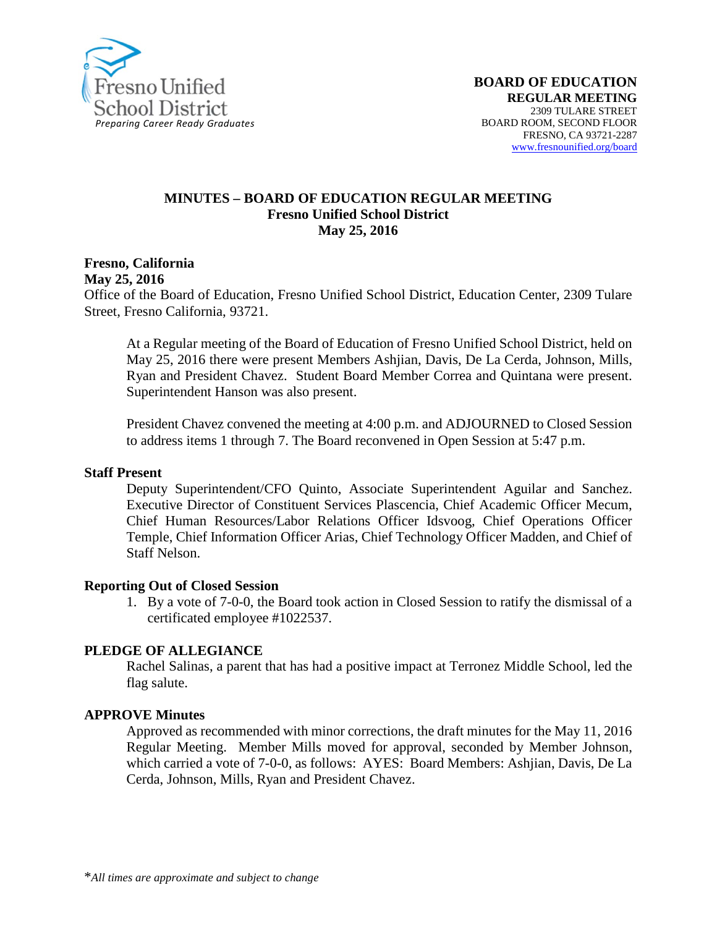

#### **MINUTES – BOARD OF EDUCATION REGULAR MEETING Fresno Unified School District May 25, 2016**

**Fresno, California May 25, 2016**

Office of the Board of Education, Fresno Unified School District, Education Center, 2309 Tulare Street, Fresno California, 93721.

At a Regular meeting of the Board of Education of Fresno Unified School District, held on May 25, 2016 there were present Members Ashjian, Davis, De La Cerda, Johnson, Mills, Ryan and President Chavez. Student Board Member Correa and Quintana were present. Superintendent Hanson was also present.

President Chavez convened the meeting at 4:00 p.m. and ADJOURNED to Closed Session to address items 1 through 7. The Board reconvened in Open Session at 5:47 p.m.

#### **Staff Present**

Deputy Superintendent/CFO Quinto, Associate Superintendent Aguilar and Sanchez. Executive Director of Constituent Services Plascencia, Chief Academic Officer Mecum, Chief Human Resources/Labor Relations Officer Idsvoog, Chief Operations Officer Temple, Chief Information Officer Arias, Chief Technology Officer Madden, and Chief of Staff Nelson.

#### **Reporting Out of Closed Session**

1. By a vote of 7-0-0, the Board took action in Closed Session to ratify the dismissal of a certificated employee #1022537.

#### **PLEDGE OF ALLEGIANCE**

Rachel Salinas, a parent that has had a positive impact at Terronez Middle School, led the flag salute.

#### **APPROVE Minutes**

Approved as recommended with minor corrections, the draft minutes for the May 11, 2016 Regular Meeting. Member Mills moved for approval, seconded by Member Johnson, which carried a vote of 7-0-0, as follows: AYES: Board Members: Ashjian, Davis, De La Cerda, Johnson, Mills, Ryan and President Chavez.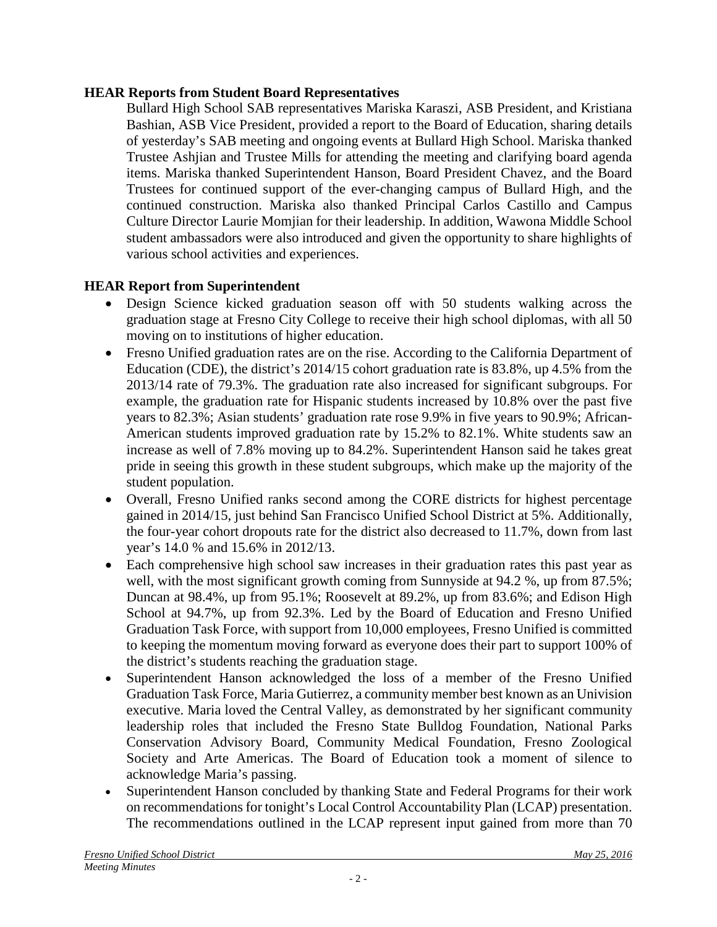### **HEAR Reports from Student Board Representatives**

Bullard High School SAB representatives Mariska Karaszi, ASB President, and Kristiana Bashian, ASB Vice President, provided a report to the Board of Education, sharing details of yesterday's SAB meeting and ongoing events at Bullard High School. Mariska thanked Trustee Ashjian and Trustee Mills for attending the meeting and clarifying board agenda items. Mariska thanked Superintendent Hanson, Board President Chavez, and the Board Trustees for continued support of the ever-changing campus of Bullard High, and the continued construction. Mariska also thanked Principal Carlos Castillo and Campus Culture Director Laurie Momjian for their leadership. In addition, Wawona Middle School student ambassadors were also introduced and given the opportunity to share highlights of various school activities and experiences.

## **HEAR Report from Superintendent**

- Design Science kicked graduation season off with 50 students walking across the graduation stage at Fresno City College to receive their high school diplomas, with all 50 moving on to institutions of higher education.
- Fresno Unified graduation rates are on the rise. According to the California Department of Education (CDE), the district's 2014/15 cohort graduation rate is 83.8%, up 4.5% from the 2013/14 rate of 79.3%. The graduation rate also increased for significant subgroups. For example, the graduation rate for Hispanic students increased by 10.8% over the past five years to 82.3%; Asian students' graduation rate rose 9.9% in five years to 90.9%; African-American students improved graduation rate by 15.2% to 82.1%. White students saw an increase as well of 7.8% moving up to 84.2%. Superintendent Hanson said he takes great pride in seeing this growth in these student subgroups, which make up the majority of the student population.
- Overall, Fresno Unified ranks second among the CORE districts for highest percentage gained in 2014/15, just behind San Francisco Unified School District at 5%. Additionally, the four-year cohort dropouts rate for the district also decreased to 11.7%, down from last year's 14.0 % and 15.6% in 2012/13.
- Each comprehensive high school saw increases in their graduation rates this past year as well, with the most significant growth coming from Sunnyside at 94.2 %, up from 87.5%; Duncan at 98.4%, up from 95.1%; Roosevelt at 89.2%, up from 83.6%; and Edison High School at 94.7%, up from 92.3%. Led by the Board of Education and Fresno Unified Graduation Task Force, with support from 10,000 employees, Fresno Unified is committed to keeping the momentum moving forward as everyone does their part to support 100% of the district's students reaching the graduation stage.
- Superintendent Hanson acknowledged the loss of a member of the Fresno Unified Graduation Task Force, Maria Gutierrez, a community member best known as an Univision executive. Maria loved the Central Valley, as demonstrated by her significant community leadership roles that included the Fresno State Bulldog Foundation, National Parks Conservation Advisory Board, Community Medical Foundation, Fresno Zoological Society and Arte Americas. The Board of Education took a moment of silence to acknowledge Maria's passing.
- Superintendent Hanson concluded by thanking State and Federal Programs for their work on recommendations for tonight's Local Control Accountability Plan (LCAP) presentation. The recommendations outlined in the LCAP represent input gained from more than 70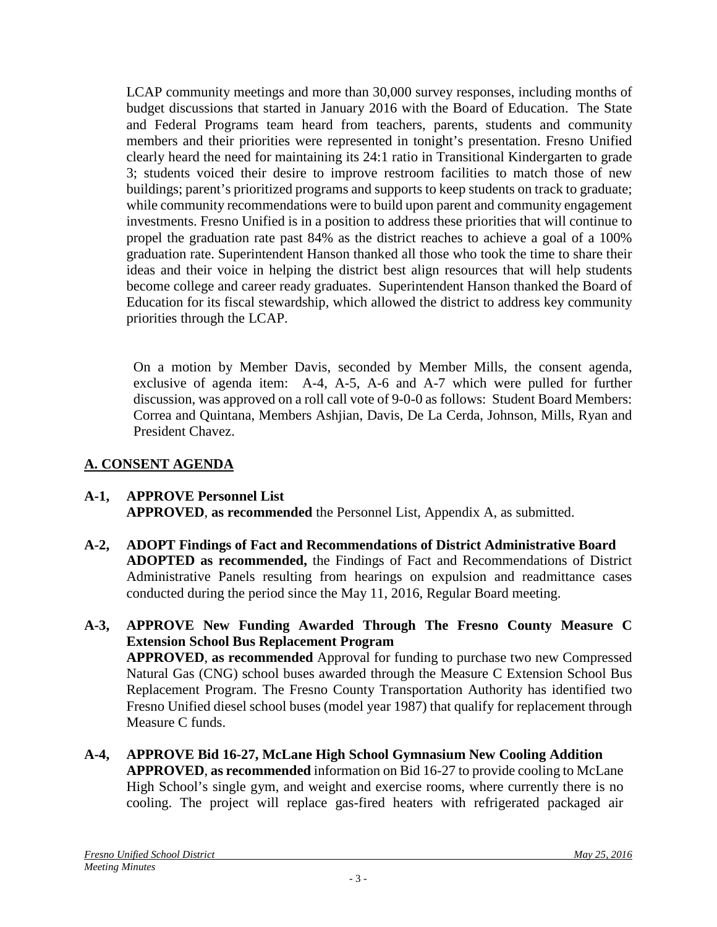LCAP community meetings and more than 30,000 survey responses, including months of budget discussions that started in January 2016 with the Board of Education. The State and Federal Programs team heard from teachers, parents, students and community members and their priorities were represented in tonight's presentation. Fresno Unified clearly heard the need for maintaining its 24:1 ratio in Transitional Kindergarten to grade 3; students voiced their desire to improve restroom facilities to match those of new buildings; parent's prioritized programs and supports to keep students on track to graduate; while community recommendations were to build upon parent and community engagement investments. Fresno Unified is in a position to address these priorities that will continue to propel the graduation rate past 84% as the district reaches to achieve a goal of a 100% graduation rate. Superintendent Hanson thanked all those who took the time to share their ideas and their voice in helping the district best align resources that will help students become college and career ready graduates. Superintendent Hanson thanked the Board of Education for its fiscal stewardship, which allowed the district to address key community priorities through the LCAP.

On a motion by Member Davis, seconded by Member Mills, the consent agenda, exclusive of agenda item: A-4, A-5, A-6 and A-7 which were pulled for further discussion, was approved on a roll call vote of 9-0-0 as follows: Student Board Members: Correa and Quintana, Members Ashjian, Davis, De La Cerda, Johnson, Mills, Ryan and President Chavez.

# **A. CONSENT AGENDA**

### **A-1, APPROVE Personnel List APPROVED**, **as recommended** the Personnel List, Appendix A, as submitted.

**A-2, ADOPT Findings of Fact and Recommendations of District Administrative Board ADOPTED as recommended,** the Findings of Fact and Recommendations of District Administrative Panels resulting from hearings on expulsion and readmittance cases conducted during the period since the May 11, 2016, Regular Board meeting.

### **A-3, APPROVE New Funding Awarded Through The Fresno County Measure C Extension School Bus Replacement Program APPROVED**, **as recommended** Approval for funding to purchase two new Compressed Natural Gas (CNG) school buses awarded through the Measure C Extension School Bus Replacement Program. The Fresno County Transportation Authority has identified two Fresno Unified diesel school buses (model year 1987) that qualify for replacement through Measure C funds.

**A-4, APPROVE Bid 16-27, McLane High School Gymnasium New Cooling Addition APPROVED**, **as recommended** information on Bid 16-27 to provide cooling to McLane High School's single gym, and weight and exercise rooms, where currently there is no cooling. The project will replace gas-fired heaters with refrigerated packaged air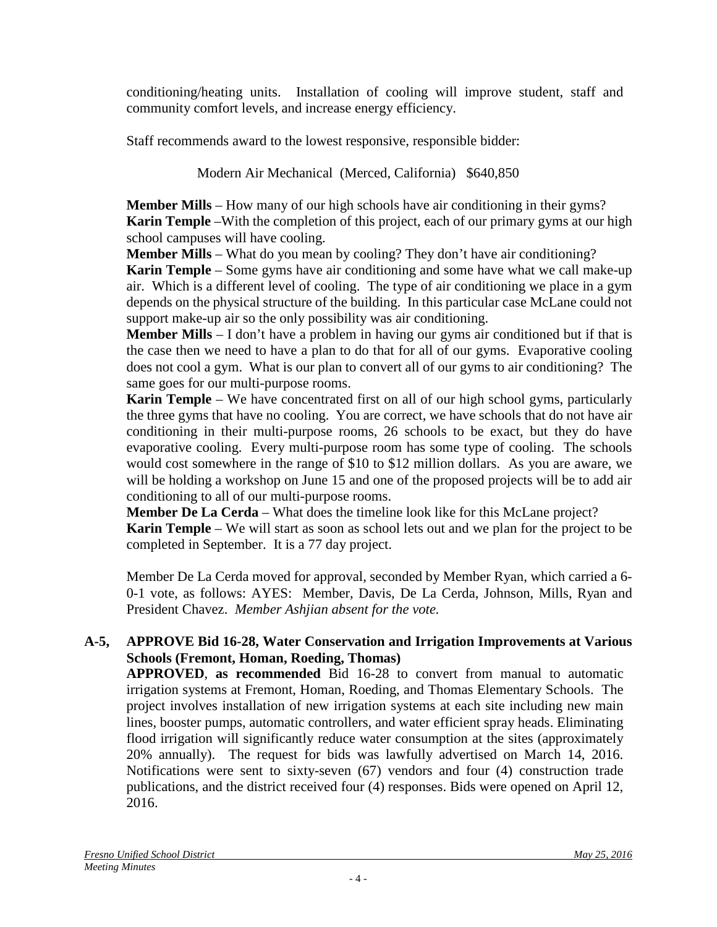conditioning/heating units. Installation of cooling will improve student, staff and community comfort levels, and increase energy efficiency.

Staff recommends award to the lowest responsive, responsible bidder:

Modern Air Mechanical (Merced, California) \$640,850

**Member Mills** – How many of our high schools have air conditioning in their gyms? **Karin Temple** –With the completion of this project, each of our primary gyms at our high school campuses will have cooling.

**Member Mills** – What do you mean by cooling? They don't have air conditioning?

**Karin Temple** – Some gyms have air conditioning and some have what we call make-up air. Which is a different level of cooling. The type of air conditioning we place in a gym depends on the physical structure of the building. In this particular case McLane could not support make-up air so the only possibility was air conditioning.

**Member Mills** – I don't have a problem in having our gyms air conditioned but if that is the case then we need to have a plan to do that for all of our gyms. Evaporative cooling does not cool a gym. What is our plan to convert all of our gyms to air conditioning? The same goes for our multi-purpose rooms.

**Karin Temple** – We have concentrated first on all of our high school gyms, particularly the three gyms that have no cooling. You are correct, we have schools that do not have air conditioning in their multi-purpose rooms, 26 schools to be exact, but they do have evaporative cooling. Every multi-purpose room has some type of cooling. The schools would cost somewhere in the range of \$10 to \$12 million dollars. As you are aware, we will be holding a workshop on June 15 and one of the proposed projects will be to add air conditioning to all of our multi-purpose rooms.

**Member De La Cerda** – What does the timeline look like for this McLane project?

**Karin Temple** – We will start as soon as school lets out and we plan for the project to be completed in September. It is a 77 day project.

Member De La Cerda moved for approval, seconded by Member Ryan, which carried a 6- 0-1 vote, as follows: AYES: Member, Davis, De La Cerda, Johnson, Mills, Ryan and President Chavez. *Member Ashjian absent for the vote.*

# **A-5, APPROVE Bid 16-28, Water Conservation and Irrigation Improvements at Various Schools (Fremont, Homan, Roeding, Thomas)**

**APPROVED**, **as recommended** Bid 16-28 to convert from manual to automatic irrigation systems at Fremont, Homan, Roeding, and Thomas Elementary Schools. The project involves installation of new irrigation systems at each site including new main lines, booster pumps, automatic controllers, and water efficient spray heads. Eliminating flood irrigation will significantly reduce water consumption at the sites (approximately 20% annually). The request for bids was lawfully advertised on March 14, 2016. Notifications were sent to sixty-seven (67) vendors and four (4) construction trade publications, and the district received four (4) responses. Bids were opened on April 12, 2016.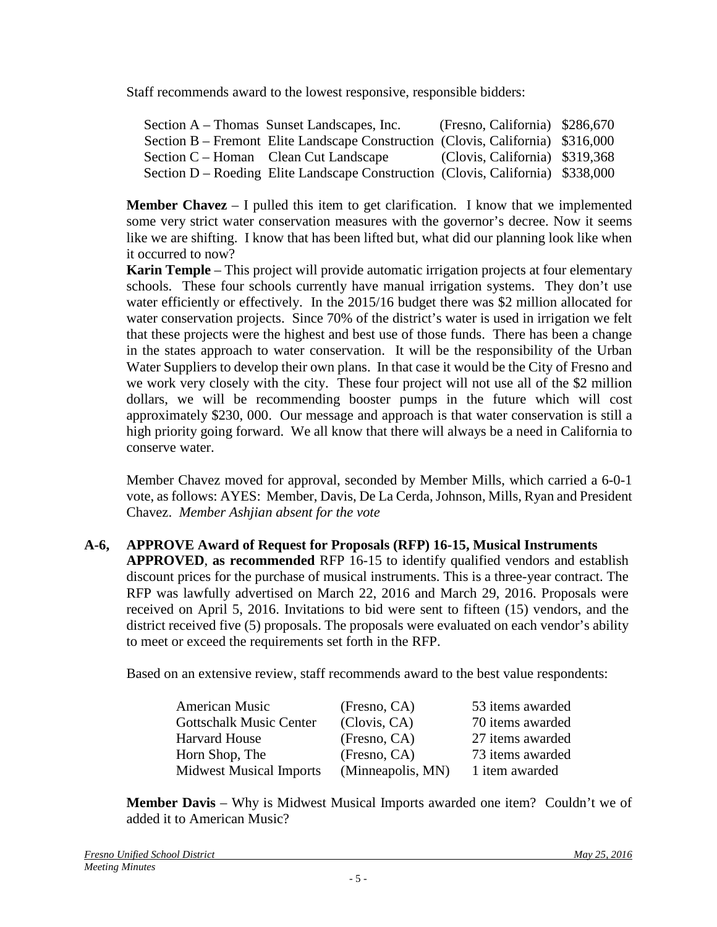Staff recommends award to the lowest responsive, responsible bidders:

| Section A – Thomas Sunset Landscapes, Inc.                                      | (Fresno, California) \$286,670 |  |
|---------------------------------------------------------------------------------|--------------------------------|--|
| Section B – Fremont Elite Landscape Construction (Clovis, California) \$316,000 |                                |  |
| Section C – Homan Clean Cut Landscape                                           | (Clovis, California) \$319,368 |  |
| Section D – Roeding Elite Landscape Construction (Clovis, California) \$338,000 |                                |  |

**Member Chavez** – I pulled this item to get clarification. I know that we implemented some very strict water conservation measures with the governor's decree. Now it seems like we are shifting. I know that has been lifted but, what did our planning look like when it occurred to now?

**Karin Temple** – This project will provide automatic irrigation projects at four elementary schools. These four schools currently have manual irrigation systems. They don't use water efficiently or effectively. In the 2015/16 budget there was \$2 million allocated for water conservation projects. Since 70% of the district's water is used in irrigation we felt that these projects were the highest and best use of those funds. There has been a change in the states approach to water conservation. It will be the responsibility of the Urban Water Suppliers to develop their own plans. In that case it would be the City of Fresno and we work very closely with the city. These four project will not use all of the \$2 million dollars, we will be recommending booster pumps in the future which will cost approximately \$230, 000. Our message and approach is that water conservation is still a high priority going forward. We all know that there will always be a need in California to conserve water.

Member Chavez moved for approval, seconded by Member Mills, which carried a 6-0-1 vote, as follows: AYES: Member, Davis, De La Cerda, Johnson, Mills, Ryan and President Chavez. *Member Ashjian absent for the vote*

## **A-6, APPROVE Award of Request for Proposals (RFP) 16-15, Musical Instruments**

**APPROVED**, **as recommended** RFP 16-15 to identify qualified vendors and establish discount prices for the purchase of musical instruments. This is a three-year contract. The RFP was lawfully advertised on March 22, 2016 and March 29, 2016. Proposals were received on April 5, 2016. Invitations to bid were sent to fifteen (15) vendors, and the district received five (5) proposals. The proposals were evaluated on each vendor's ability to meet or exceed the requirements set forth in the RFP.

Based on an extensive review, staff recommends award to the best value respondents:

| American Music                 | (Fresno, CA)      | 53 items awarded |
|--------------------------------|-------------------|------------------|
| <b>Gottschalk Music Center</b> | (Clovis, CA)      | 70 items awarded |
| <b>Harvard House</b>           | (Fresno, CA)      | 27 items awarded |
| Horn Shop, The                 | (Fresno, CA)      | 73 items awarded |
| <b>Midwest Musical Imports</b> | (Minneapolis, MN) | 1 item awarded   |

**Member Davis** – Why is Midwest Musical Imports awarded one item? Couldn't we of added it to American Music?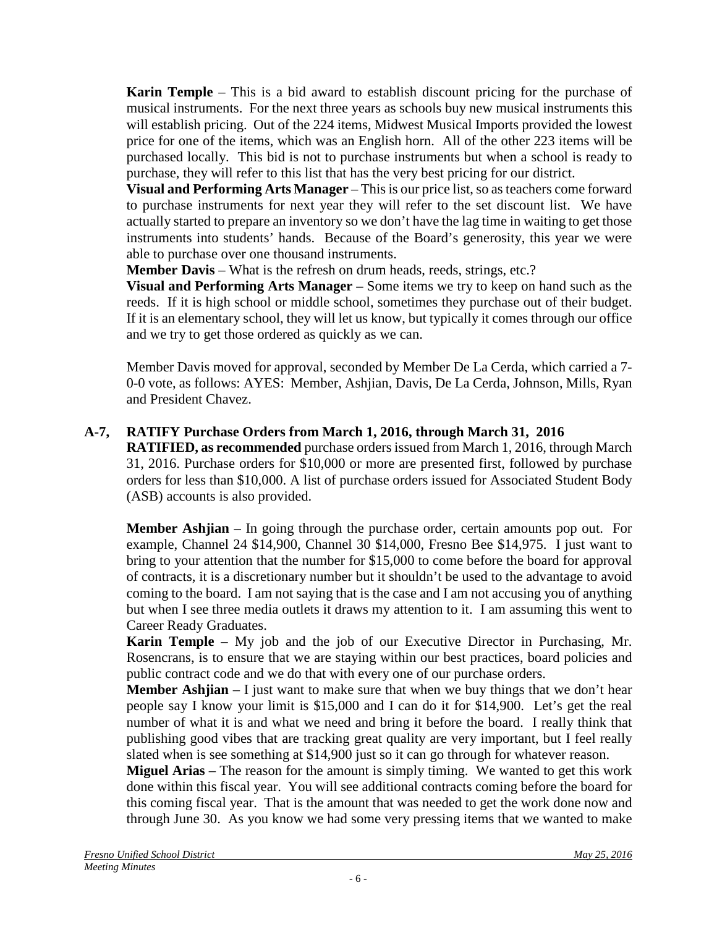**Karin Temple** – This is a bid award to establish discount pricing for the purchase of musical instruments. For the next three years as schools buy new musical instruments this will establish pricing. Out of the 224 items, Midwest Musical Imports provided the lowest price for one of the items, which was an English horn. All of the other 223 items will be purchased locally. This bid is not to purchase instruments but when a school is ready to purchase, they will refer to this list that has the very best pricing for our district.

**Visual and Performing Arts Manager** – This is our price list, so as teachers come forward to purchase instruments for next year they will refer to the set discount list. We have actually started to prepare an inventory so we don't have the lag time in waiting to get those instruments into students' hands. Because of the Board's generosity, this year we were able to purchase over one thousand instruments.

**Member Davis** – What is the refresh on drum heads, reeds, strings, etc.?

**Visual and Performing Arts Manager –** Some items we try to keep on hand such as the reeds. If it is high school or middle school, sometimes they purchase out of their budget. If it is an elementary school, they will let us know, but typically it comes through our office and we try to get those ordered as quickly as we can.

Member Davis moved for approval, seconded by Member De La Cerda, which carried a 7- 0-0 vote, as follows: AYES: Member, Ashjian, Davis, De La Cerda, Johnson, Mills, Ryan and President Chavez.

## **A-7, RATIFY Purchase Orders from March 1, 2016, through March 31, 2016**

**RATIFIED, as recommended** purchase orders issued from March 1, 2016, through March 31, 2016. Purchase orders for \$10,000 or more are presented first, followed by purchase orders for less than \$10,000. A list of purchase orders issued for Associated Student Body (ASB) accounts is also provided.

**Member Ashjian** – In going through the purchase order, certain amounts pop out. For example, Channel 24 \$14,900, Channel 30 \$14,000, Fresno Bee \$14,975. I just want to bring to your attention that the number for \$15,000 to come before the board for approval of contracts, it is a discretionary number but it shouldn't be used to the advantage to avoid coming to the board. I am not saying that is the case and I am not accusing you of anything but when I see three media outlets it draws my attention to it. I am assuming this went to Career Ready Graduates.

**Karin Temple** – My job and the job of our Executive Director in Purchasing, Mr. Rosencrans, is to ensure that we are staying within our best practices, board policies and public contract code and we do that with every one of our purchase orders.

**Member Ashjian** – I just want to make sure that when we buy things that we don't hear people say I know your limit is \$15,000 and I can do it for \$14,900. Let's get the real number of what it is and what we need and bring it before the board. I really think that publishing good vibes that are tracking great quality are very important, but I feel really slated when is see something at \$14,900 just so it can go through for whatever reason.

**Miguel Arias** – The reason for the amount is simply timing. We wanted to get this work done within this fiscal year. You will see additional contracts coming before the board for this coming fiscal year. That is the amount that was needed to get the work done now and through June 30. As you know we had some very pressing items that we wanted to make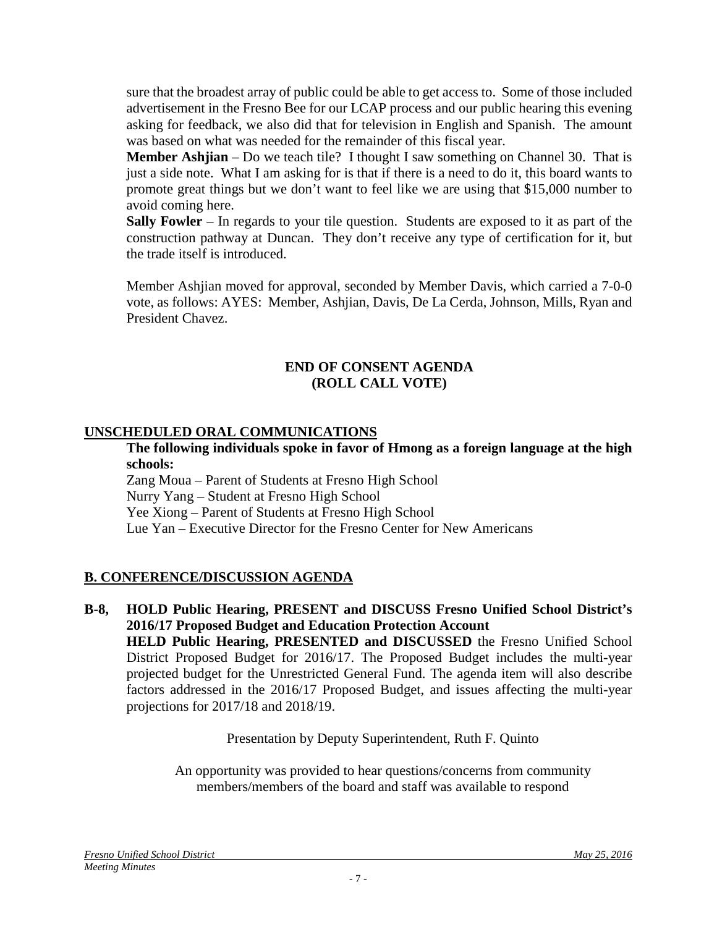sure that the broadest array of public could be able to get access to. Some of those included advertisement in the Fresno Bee for our LCAP process and our public hearing this evening asking for feedback, we also did that for television in English and Spanish. The amount was based on what was needed for the remainder of this fiscal year.

**Member Ashjian** – Do we teach tile? I thought I saw something on Channel 30. That is just a side note. What I am asking for is that if there is a need to do it, this board wants to promote great things but we don't want to feel like we are using that \$15,000 number to avoid coming here.

**Sally Fowler** – In regards to your tile question. Students are exposed to it as part of the construction pathway at Duncan. They don't receive any type of certification for it, but the trade itself is introduced.

Member Ashjian moved for approval, seconded by Member Davis, which carried a 7-0-0 vote, as follows: AYES: Member, Ashjian, Davis, De La Cerda, Johnson, Mills, Ryan and President Chavez.

### **END OF CONSENT AGENDA (ROLL CALL VOTE)**

## **UNSCHEDULED ORAL COMMUNICATIONS**

**The following individuals spoke in favor of Hmong as a foreign language at the high schools:**

Zang Moua – Parent of Students at Fresno High School Nurry Yang – Student at Fresno High School Yee Xiong – Parent of Students at Fresno High School Lue Yan – Executive Director for the Fresno Center for New Americans

## **B. CONFERENCE/DISCUSSION AGENDA**

**B-8, HOLD Public Hearing, PRESENT and DISCUSS Fresno Unified School District's 2016/17 Proposed Budget and Education Protection Account HELD Public Hearing, PRESENTED and DISCUSSED** the Fresno Unified School District Proposed Budget for 2016/17. The Proposed Budget includes the multi-year projected budget for the Unrestricted General Fund. The agenda item will also describe factors addressed in the 2016/17 Proposed Budget, and issues affecting the multi-year projections for 2017/18 and 2018/19.

Presentation by Deputy Superintendent, Ruth F. Quinto

An opportunity was provided to hear questions/concerns from community members/members of the board and staff was available to respond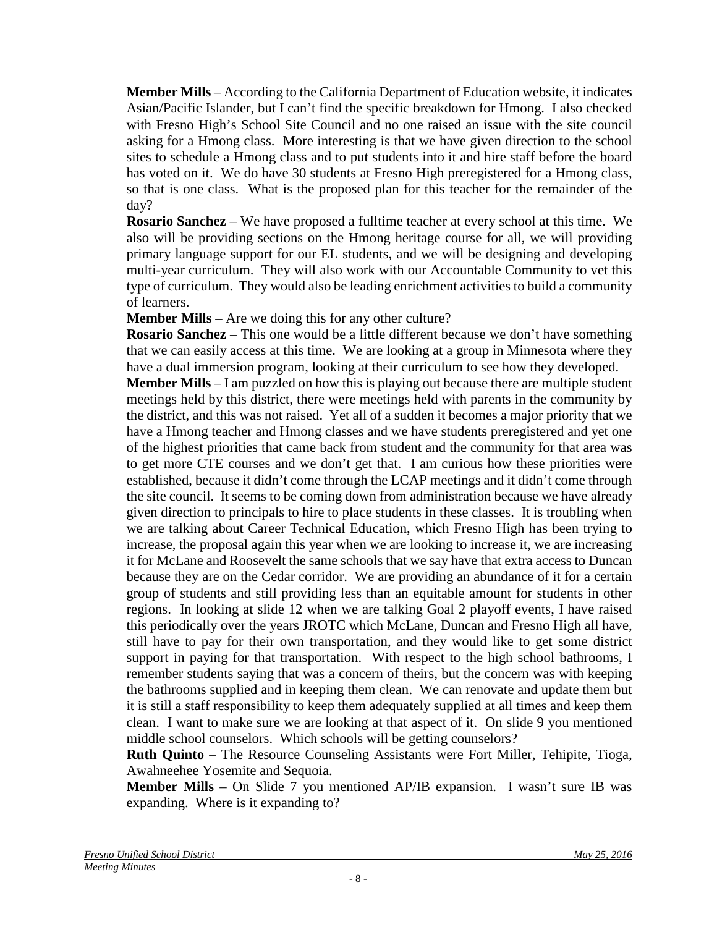**Member Mills** – According to the California Department of Education website, it indicates Asian/Pacific Islander, but I can't find the specific breakdown for Hmong. I also checked with Fresno High's School Site Council and no one raised an issue with the site council asking for a Hmong class. More interesting is that we have given direction to the school sites to schedule a Hmong class and to put students into it and hire staff before the board has voted on it. We do have 30 students at Fresno High preregistered for a Hmong class, so that is one class. What is the proposed plan for this teacher for the remainder of the day?

**Rosario Sanchez** – We have proposed a fulltime teacher at every school at this time. We also will be providing sections on the Hmong heritage course for all, we will providing primary language support for our EL students, and we will be designing and developing multi-year curriculum. They will also work with our Accountable Community to vet this type of curriculum. They would also be leading enrichment activities to build a community of learners.

**Member Mills** – Are we doing this for any other culture?

**Rosario Sanchez** – This one would be a little different because we don't have something that we can easily access at this time. We are looking at a group in Minnesota where they have a dual immersion program, looking at their curriculum to see how they developed.

**Member Mills** – I am puzzled on how this is playing out because there are multiple student meetings held by this district, there were meetings held with parents in the community by the district, and this was not raised. Yet all of a sudden it becomes a major priority that we have a Hmong teacher and Hmong classes and we have students preregistered and yet one of the highest priorities that came back from student and the community for that area was to get more CTE courses and we don't get that. I am curious how these priorities were established, because it didn't come through the LCAP meetings and it didn't come through the site council. It seems to be coming down from administration because we have already given direction to principals to hire to place students in these classes. It is troubling when we are talking about Career Technical Education, which Fresno High has been trying to increase, the proposal again this year when we are looking to increase it, we are increasing it for McLane and Roosevelt the same schools that we say have that extra access to Duncan because they are on the Cedar corridor. We are providing an abundance of it for a certain group of students and still providing less than an equitable amount for students in other regions. In looking at slide 12 when we are talking Goal 2 playoff events, I have raised this periodically over the years JROTC which McLane, Duncan and Fresno High all have, still have to pay for their own transportation, and they would like to get some district support in paying for that transportation. With respect to the high school bathrooms, I remember students saying that was a concern of theirs, but the concern was with keeping the bathrooms supplied and in keeping them clean. We can renovate and update them but it is still a staff responsibility to keep them adequately supplied at all times and keep them clean. I want to make sure we are looking at that aspect of it. On slide 9 you mentioned middle school counselors. Which schools will be getting counselors?

**Ruth Quinto** – The Resource Counseling Assistants were Fort Miller, Tehipite, Tioga, Awahneehee Yosemite and Sequoia.

**Member Mills** – On Slide 7 you mentioned AP/IB expansion. I wasn't sure IB was expanding. Where is it expanding to?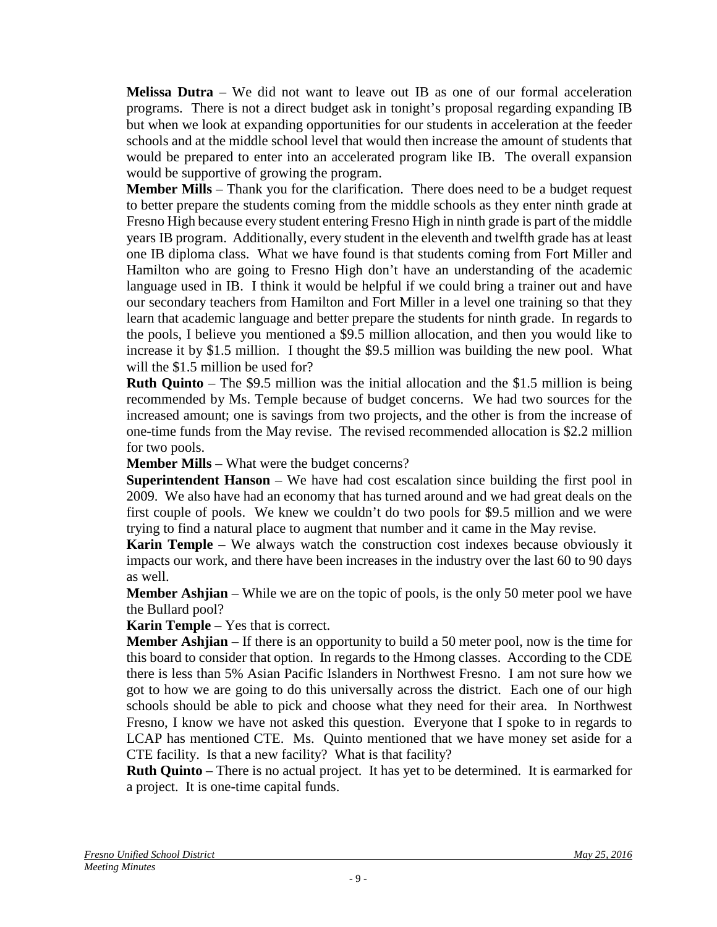**Melissa Dutra** – We did not want to leave out IB as one of our formal acceleration programs. There is not a direct budget ask in tonight's proposal regarding expanding IB but when we look at expanding opportunities for our students in acceleration at the feeder schools and at the middle school level that would then increase the amount of students that would be prepared to enter into an accelerated program like IB. The overall expansion would be supportive of growing the program.

**Member Mills** – Thank you for the clarification. There does need to be a budget request to better prepare the students coming from the middle schools as they enter ninth grade at Fresno High because every student entering Fresno High in ninth grade is part of the middle years IB program. Additionally, every student in the eleventh and twelfth grade has at least one IB diploma class. What we have found is that students coming from Fort Miller and Hamilton who are going to Fresno High don't have an understanding of the academic language used in IB. I think it would be helpful if we could bring a trainer out and have our secondary teachers from Hamilton and Fort Miller in a level one training so that they learn that academic language and better prepare the students for ninth grade. In regards to the pools, I believe you mentioned a \$9.5 million allocation, and then you would like to increase it by \$1.5 million. I thought the \$9.5 million was building the new pool. What will the \$1.5 million be used for?

**Ruth Quinto** – The \$9.5 million was the initial allocation and the \$1.5 million is being recommended by Ms. Temple because of budget concerns. We had two sources for the increased amount; one is savings from two projects, and the other is from the increase of one-time funds from the May revise. The revised recommended allocation is \$2.2 million for two pools.

**Member Mills** – What were the budget concerns?

**Superintendent Hanson** – We have had cost escalation since building the first pool in 2009. We also have had an economy that has turned around and we had great deals on the first couple of pools. We knew we couldn't do two pools for \$9.5 million and we were trying to find a natural place to augment that number and it came in the May revise.

**Karin Temple** – We always watch the construction cost indexes because obviously it impacts our work, and there have been increases in the industry over the last 60 to 90 days as well.

**Member Ashjian** – While we are on the topic of pools, is the only 50 meter pool we have the Bullard pool?

**Karin Temple** – Yes that is correct.

**Member Ashjian** – If there is an opportunity to build a 50 meter pool, now is the time for this board to consider that option. In regards to the Hmong classes. According to the CDE there is less than 5% Asian Pacific Islanders in Northwest Fresno. I am not sure how we got to how we are going to do this universally across the district. Each one of our high schools should be able to pick and choose what they need for their area. In Northwest Fresno, I know we have not asked this question. Everyone that I spoke to in regards to LCAP has mentioned CTE. Ms. Quinto mentioned that we have money set aside for a CTE facility. Is that a new facility? What is that facility?

**Ruth Quinto** – There is no actual project. It has yet to be determined. It is earmarked for a project. It is one-time capital funds.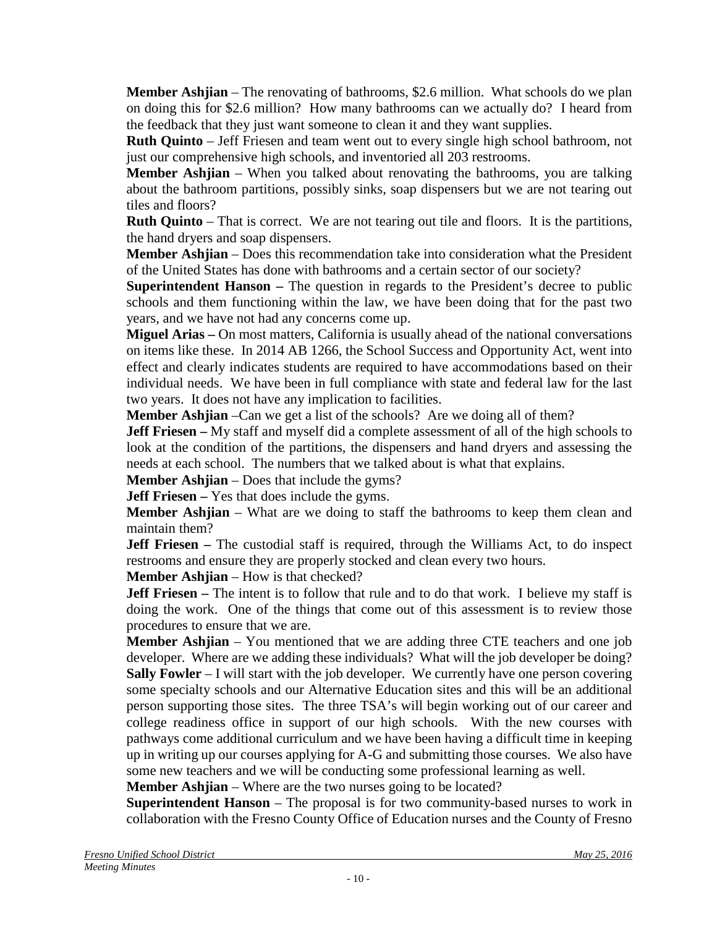**Member Ashjian** – The renovating of bathrooms, \$2.6 million. What schools do we plan on doing this for \$2.6 million? How many bathrooms can we actually do? I heard from the feedback that they just want someone to clean it and they want supplies.

**Ruth Quinto** – Jeff Friesen and team went out to every single high school bathroom, not just our comprehensive high schools, and inventoried all 203 restrooms.

**Member Ashjian** – When you talked about renovating the bathrooms, you are talking about the bathroom partitions, possibly sinks, soap dispensers but we are not tearing out tiles and floors?

**Ruth Quinto** – That is correct. We are not tearing out tile and floors. It is the partitions, the hand dryers and soap dispensers.

**Member Ashjian** – Does this recommendation take into consideration what the President of the United States has done with bathrooms and a certain sector of our society?

**Superintendent Hanson –** The question in regards to the President's decree to public schools and them functioning within the law, we have been doing that for the past two years, and we have not had any concerns come up.

**Miguel Arias –** On most matters, California is usually ahead of the national conversations on items like these. In 2014 AB 1266, the School Success and Opportunity Act, went into effect and clearly indicates students are required to have accommodations based on their individual needs. We have been in full compliance with state and federal law for the last two years. It does not have any implication to facilities.

**Member Ashjian** –Can we get a list of the schools? Are we doing all of them?

**Jeff Friesen** – My staff and myself did a complete assessment of all of the high schools to look at the condition of the partitions, the dispensers and hand dryers and assessing the needs at each school. The numbers that we talked about is what that explains.

**Member Ashiian** – Does that include the gyms?

**Jeff Friesen** – Yes that does include the gyms.

**Member Ashjian** – What are we doing to staff the bathrooms to keep them clean and maintain them?

**Jeff Friesen** – The custodial staff is required, through the Williams Act, to do inspect restrooms and ensure they are properly stocked and clean every two hours.

**Member Ashiian** – How is that checked?

**Jeff Friesen** – The intent is to follow that rule and to do that work. I believe my staff is doing the work. One of the things that come out of this assessment is to review those procedures to ensure that we are.

**Member Ashjian** – You mentioned that we are adding three CTE teachers and one job developer. Where are we adding these individuals? What will the job developer be doing? **Sally Fowler** – I will start with the job developer. We currently have one person covering some specialty schools and our Alternative Education sites and this will be an additional person supporting those sites. The three TSA's will begin working out of our career and college readiness office in support of our high schools. With the new courses with pathways come additional curriculum and we have been having a difficult time in keeping up in writing up our courses applying for A-G and submitting those courses. We also have some new teachers and we will be conducting some professional learning as well.

**Member Ashijan** – Where are the two nurses going to be located?

**Superintendent Hanson** – The proposal is for two community-based nurses to work in collaboration with the Fresno County Office of Education nurses and the County of Fresno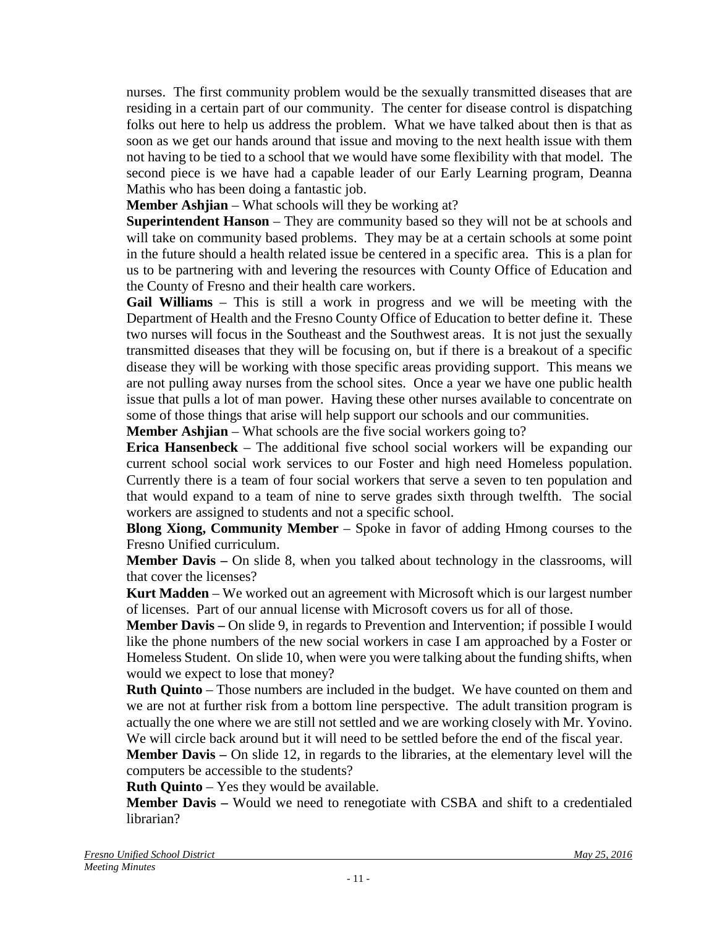nurses. The first community problem would be the sexually transmitted diseases that are residing in a certain part of our community. The center for disease control is dispatching folks out here to help us address the problem. What we have talked about then is that as soon as we get our hands around that issue and moving to the next health issue with them not having to be tied to a school that we would have some flexibility with that model. The second piece is we have had a capable leader of our Early Learning program, Deanna Mathis who has been doing a fantastic job.

**Member Ashjian** – What schools will they be working at?

**Superintendent Hanson** – They are community based so they will not be at schools and will take on community based problems. They may be at a certain schools at some point in the future should a health related issue be centered in a specific area. This is a plan for us to be partnering with and levering the resources with County Office of Education and the County of Fresno and their health care workers.

**Gail Williams** – This is still a work in progress and we will be meeting with the Department of Health and the Fresno County Office of Education to better define it. These two nurses will focus in the Southeast and the Southwest areas. It is not just the sexually transmitted diseases that they will be focusing on, but if there is a breakout of a specific disease they will be working with those specific areas providing support. This means we are not pulling away nurses from the school sites. Once a year we have one public health issue that pulls a lot of man power. Having these other nurses available to concentrate on some of those things that arise will help support our schools and our communities.

**Member Ashijan** – What schools are the five social workers going to?

**Erica Hansenbeck** – The additional five school social workers will be expanding our current school social work services to our Foster and high need Homeless population. Currently there is a team of four social workers that serve a seven to ten population and that would expand to a team of nine to serve grades sixth through twelfth. The social workers are assigned to students and not a specific school.

**Blong Xiong, Community Member** – Spoke in favor of adding Hmong courses to the Fresno Unified curriculum.

**Member Davis –** On slide 8, when you talked about technology in the classrooms, will that cover the licenses?

**Kurt Madden** – We worked out an agreement with Microsoft which is our largest number of licenses. Part of our annual license with Microsoft covers us for all of those.

**Member Davis –** On slide 9, in regards to Prevention and Intervention; if possible I would like the phone numbers of the new social workers in case I am approached by a Foster or Homeless Student. On slide 10, when were you were talking about the funding shifts, when would we expect to lose that money?

**Ruth Quinto** – Those numbers are included in the budget. We have counted on them and we are not at further risk from a bottom line perspective. The adult transition program is actually the one where we are still not settled and we are working closely with Mr. Yovino. We will circle back around but it will need to be settled before the end of the fiscal year.

**Member Davis –** On slide 12, in regards to the libraries, at the elementary level will the computers be accessible to the students?

**Ruth Quinto** – Yes they would be available.

**Member Davis –** Would we need to renegotiate with CSBA and shift to a credentialed librarian?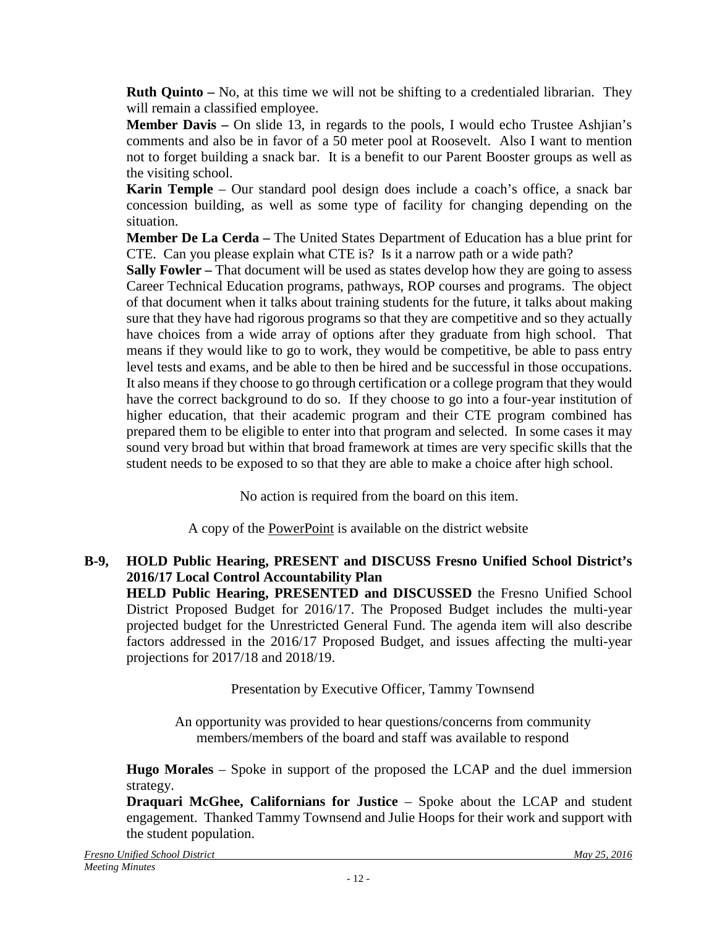**Ruth Quinto –** No, at this time we will not be shifting to a credentialed librarian. They will remain a classified employee.

**Member Davis –** On slide 13, in regards to the pools, I would echo Trustee Ashjian's comments and also be in favor of a 50 meter pool at Roosevelt. Also I want to mention not to forget building a snack bar. It is a benefit to our Parent Booster groups as well as the visiting school.

**Karin Temple** – Our standard pool design does include a coach's office, a snack bar concession building, as well as some type of facility for changing depending on the situation.

**Member De La Cerda –** The United States Department of Education has a blue print for CTE. Can you please explain what CTE is? Is it a narrow path or a wide path?

**Sally Fowler –** That document will be used as states develop how they are going to assess Career Technical Education programs, pathways, ROP courses and programs. The object of that document when it talks about training students for the future, it talks about making sure that they have had rigorous programs so that they are competitive and so they actually have choices from a wide array of options after they graduate from high school. That means if they would like to go to work, they would be competitive, be able to pass entry level tests and exams, and be able to then be hired and be successful in those occupations. It also means if they choose to go through certification or a college program that they would have the correct background to do so. If they choose to go into a four-year institution of higher education, that their academic program and their CTE program combined has prepared them to be eligible to enter into that program and selected. In some cases it may sound very broad but within that broad framework at times are very specific skills that the student needs to be exposed to so that they are able to make a choice after high school.

No action is required from the board on this item.

A copy of the PowerPoint is available on the district website

# **B-9, HOLD Public Hearing, PRESENT and DISCUSS Fresno Unified School District's 2016/17 Local Control Accountability Plan**

**HELD Public Hearing, PRESENTED and DISCUSSED** the Fresno Unified School District Proposed Budget for 2016/17. The Proposed Budget includes the multi-year projected budget for the Unrestricted General Fund. The agenda item will also describe factors addressed in the 2016/17 Proposed Budget, and issues affecting the multi-year projections for 2017/18 and 2018/19.

Presentation by Executive Officer, Tammy Townsend

An opportunity was provided to hear questions/concerns from community members/members of the board and staff was available to respond

**Hugo Morales** – Spoke in support of the proposed the LCAP and the duel immersion strategy.

**Draquari McGhee, Californians for Justice** – Spoke about the LCAP and student engagement. Thanked Tammy Townsend and Julie Hoops for their work and support with the student population.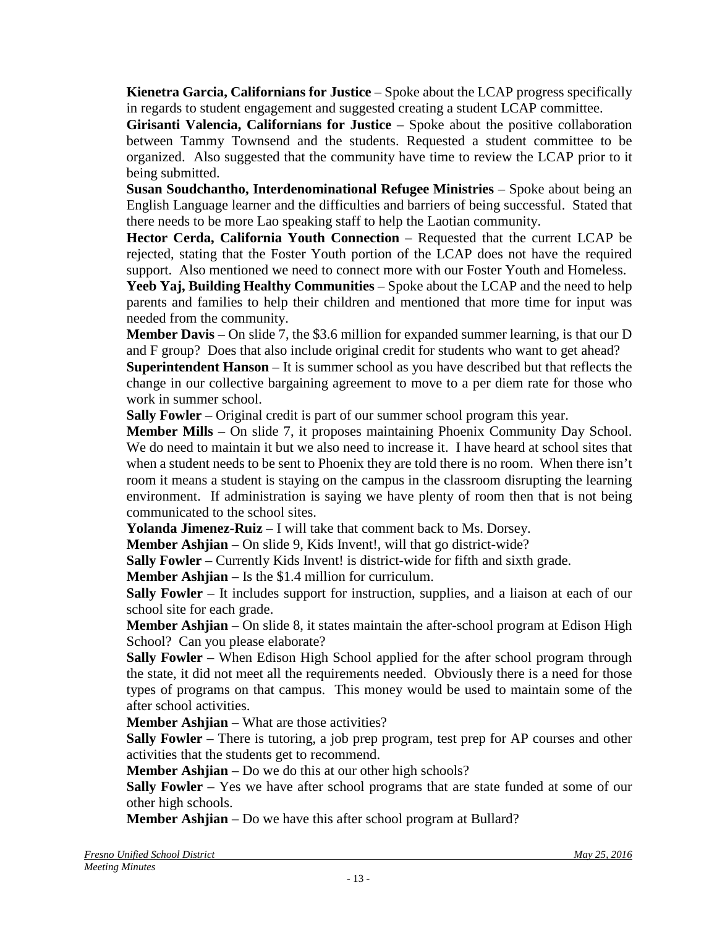**Kienetra Garcia, Californians for Justice** – Spoke about the LCAP progress specifically in regards to student engagement and suggested creating a student LCAP committee.

**Girisanti Valencia, Californians for Justice** – Spoke about the positive collaboration between Tammy Townsend and the students. Requested a student committee to be organized. Also suggested that the community have time to review the LCAP prior to it being submitted.

**Susan Soudchantho, Interdenominational Refugee Ministries** – Spoke about being an English Language learner and the difficulties and barriers of being successful. Stated that there needs to be more Lao speaking staff to help the Laotian community.

**Hector Cerda, California Youth Connection** – Requested that the current LCAP be rejected, stating that the Foster Youth portion of the LCAP does not have the required support. Also mentioned we need to connect more with our Foster Youth and Homeless.

**Yeeb Yaj, Building Healthy Communities** – Spoke about the LCAP and the need to help parents and families to help their children and mentioned that more time for input was needed from the community.

**Member Davis** – On slide 7, the \$3.6 million for expanded summer learning, is that our D and F group? Does that also include original credit for students who want to get ahead?

**Superintendent Hanson** – It is summer school as you have described but that reflects the change in our collective bargaining agreement to move to a per diem rate for those who work in summer school.

**Sally Fowler** – Original credit is part of our summer school program this year.

**Member Mills** – On slide 7, it proposes maintaining Phoenix Community Day School. We do need to maintain it but we also need to increase it. I have heard at school sites that when a student needs to be sent to Phoenix they are told there is no room. When there isn't room it means a student is staying on the campus in the classroom disrupting the learning environment. If administration is saying we have plenty of room then that is not being communicated to the school sites.

**Yolanda Jimenez-Ruiz** – I will take that comment back to Ms. Dorsey.

**Member Ashjian** – On slide 9, Kids Invent!, will that go district-wide?

**Sally Fowler** – Currently Kids Invent! is district-wide for fifth and sixth grade.

**Member Ashjian** – Is the \$1.4 million for curriculum.

**Sally Fowler** – It includes support for instruction, supplies, and a liaison at each of our school site for each grade.

**Member Ashjian** – On slide 8, it states maintain the after-school program at Edison High School? Can you please elaborate?

**Sally Fowler** – When Edison High School applied for the after school program through the state, it did not meet all the requirements needed. Obviously there is a need for those types of programs on that campus. This money would be used to maintain some of the after school activities.

**Member Ashiian** – What are those activities?

**Sally Fowler** – There is tutoring, a job prep program, test prep for AP courses and other activities that the students get to recommend.

**Member Ashjian** – Do we do this at our other high schools?

**Sally Fowler** – Yes we have after school programs that are state funded at some of our other high schools.

**Member Ashjian** – Do we have this after school program at Bullard?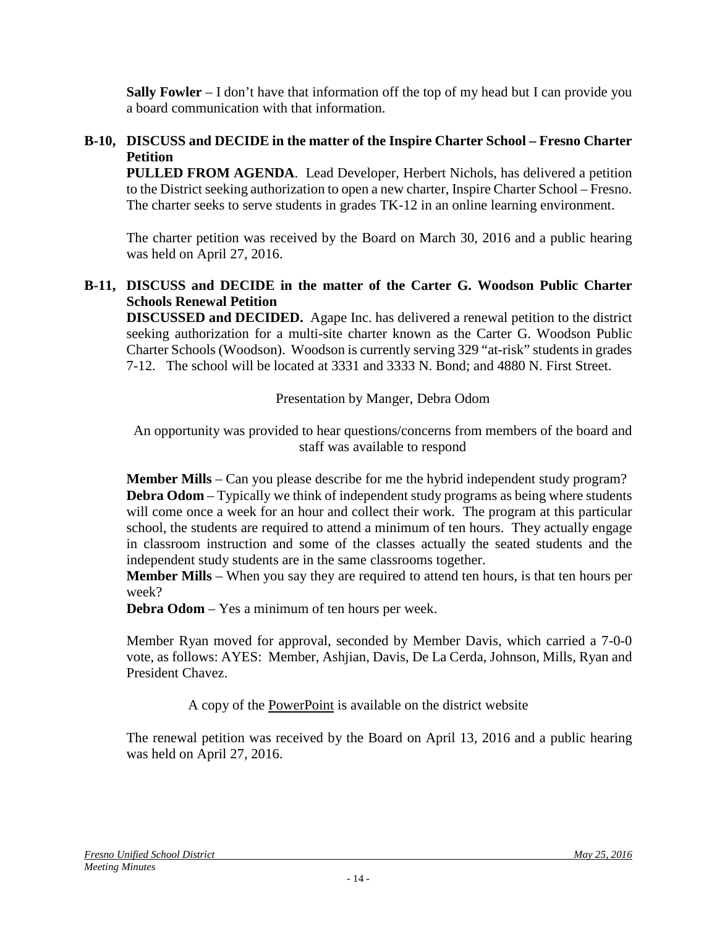**Sally Fowler** – I don't have that information off the top of my head but I can provide you a board communication with that information.

## **B-10, DISCUSS and DECIDE in the matter of the Inspire Charter School – Fresno Charter Petition**

**PULLED FROM AGENDA**. Lead Developer, Herbert Nichols, has delivered a petition to the District seeking authorization to open a new charter, Inspire Charter School – Fresno. The charter seeks to serve students in grades TK-12 in an online learning environment.

The charter petition was received by the Board on March 30, 2016 and a public hearing was held on April 27, 2016.

### **B-11, DISCUSS and DECIDE in the matter of the Carter G. Woodson Public Charter Schools Renewal Petition**

**DISCUSSED and DECIDED.** Agape Inc. has delivered a renewal petition to the district seeking authorization for a multi-site charter known as the Carter G. Woodson Public Charter Schools (Woodson). Woodson is currently serving 329 "at-risk" students in grades 7-12. The school will be located at 3331 and 3333 N. Bond; and 4880 N. First Street.

Presentation by Manger, Debra Odom

An opportunity was provided to hear questions/concerns from members of the board and staff was available to respond

**Member Mills** – Can you please describe for me the hybrid independent study program? **Debra Odom** – Typically we think of independent study programs as being where students will come once a week for an hour and collect their work. The program at this particular school, the students are required to attend a minimum of ten hours. They actually engage in classroom instruction and some of the classes actually the seated students and the independent study students are in the same classrooms together.

**Member Mills** – When you say they are required to attend ten hours, is that ten hours per week?

**Debra Odom** – Yes a minimum of ten hours per week.

Member Ryan moved for approval, seconded by Member Davis, which carried a 7-0-0 vote, as follows: AYES: Member, Ashjian, Davis, De La Cerda, Johnson, Mills, Ryan and President Chavez.

A copy of the PowerPoint is available on the district website

The renewal petition was received by the Board on April 13, 2016 and a public hearing was held on April 27, 2016.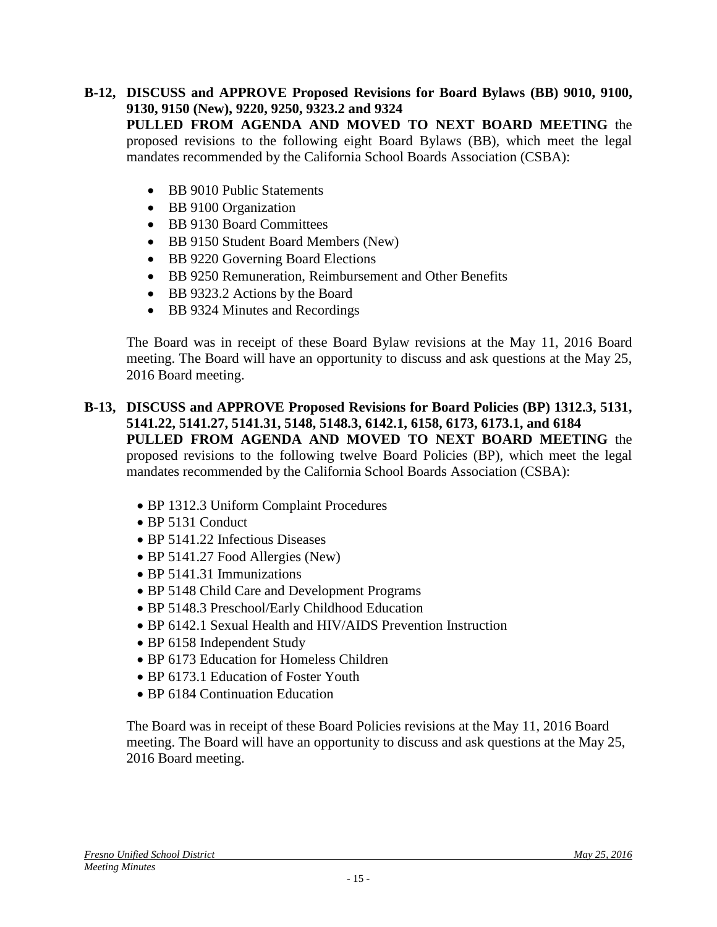**B-12, DISCUSS and APPROVE Proposed Revisions for Board Bylaws (BB) 9010, 9100, 9130, 9150 (New), 9220, 9250, 9323.2 and 9324 PULLED FROM AGENDA AND MOVED TO NEXT BOARD MEETING** the proposed revisions to the following eight Board Bylaws (BB), which meet the legal mandates recommended by the California School Boards Association (CSBA):

- BB 9010 Public Statements
- BB 9100 Organization
- BB 9130 Board Committees
- BB 9150 Student Board Members (New)
- BB 9220 Governing Board Elections
- BB 9250 Remuneration, Reimbursement and Other Benefits
- BB 9323.2 Actions by the Board
- BB 9324 Minutes and Recordings

The Board was in receipt of these Board Bylaw revisions at the May 11, 2016 Board meeting. The Board will have an opportunity to discuss and ask questions at the May 25, 2016 Board meeting.

- **B-13, DISCUSS and APPROVE Proposed Revisions for Board Policies (BP) 1312.3, 5131, 5141.22, 5141.27, 5141.31, 5148, 5148.3, 6142.1, 6158, 6173, 6173.1, and 6184 PULLED FROM AGENDA AND MOVED TO NEXT BOARD MEETING** the proposed revisions to the following twelve Board Policies (BP), which meet the legal mandates recommended by the California School Boards Association (CSBA):
	- BP 1312.3 Uniform Complaint Procedures
	- BP 5131 Conduct
	- BP 5141.22 Infectious Diseases
	- BP 5141.27 Food Allergies (New)
	- BP 5141.31 Immunizations
	- BP 5148 Child Care and Development Programs
	- BP 5148.3 Preschool/Early Childhood Education
	- BP 6142.1 Sexual Health and HIV/AIDS Prevention Instruction
	- BP 6158 Independent Study
	- BP 6173 Education for Homeless Children
	- BP 6173.1 Education of Foster Youth
	- BP 6184 Continuation Education

The Board was in receipt of these Board Policies revisions at the May 11, 2016 Board meeting. The Board will have an opportunity to discuss and ask questions at the May 25, 2016 Board meeting.